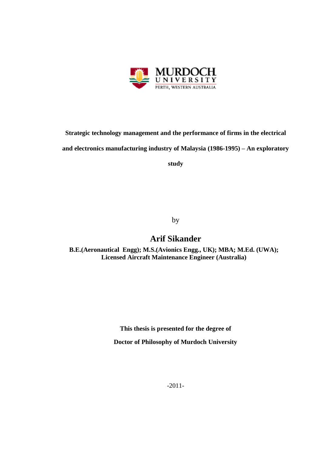

**Strategic technology management and the performance of firms in the electrical and electronics manufacturing industry of Malaysia (1986-1995) – An exploratory** 

**study**

by

## **Arif Sikander**

**B.E.(Aeronautical Engg); M.S.(Avionics Engg., UK); MBA; M.Ed. (UWA); Licensed Aircraft Maintenance Engineer (Australia)**

**This thesis is presented for the degree of**

**Doctor of Philosophy of Murdoch University**

-2011-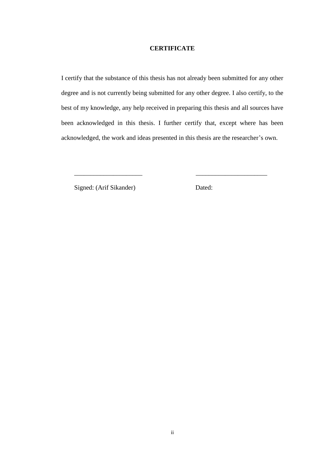### **CERTIFICATE**

I certify that the substance of this thesis has not already been submitted for any other degree and is not currently being submitted for any other degree. I also certify, to the best of my knowledge, any help received in preparing this thesis and all sources have been acknowledged in this thesis. I further certify that, except where has been acknowledged, the work and ideas presented in this thesis are the researcher's own.

\_\_\_\_\_\_\_\_\_\_\_\_\_\_\_\_\_\_\_\_\_ \_\_\_\_\_\_\_\_\_\_\_\_\_\_\_\_\_\_\_\_\_\_

Signed: (Arif Sikander) Dated: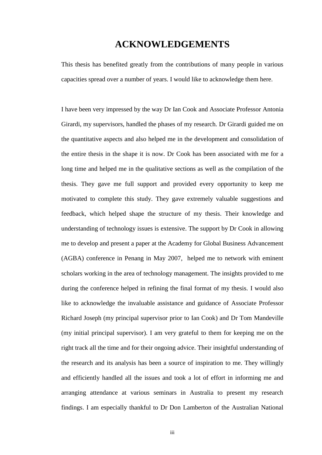## **ACKNOWLEDGEMENTS**

This thesis has benefited greatly from the contributions of many people in various capacities spread over a number of years. I would like to acknowledge them here.

I have been very impressed by the way Dr Ian Cook and Associate Professor Antonia Girardi, my supervisors, handled the phases of my research. Dr Girardi guided me on the quantitative aspects and also helped me in the development and consolidation of the entire thesis in the shape it is now. Dr Cook has been associated with me for a long time and helped me in the qualitative sections as well as the compilation of the thesis. They gave me full support and provided every opportunity to keep me motivated to complete this study. They gave extremely valuable suggestions and feedback, which helped shape the structure of my thesis. Their knowledge and understanding of technology issues is extensive. The support by Dr Cook in allowing me to develop and present a paper at the Academy for Global Business Advancement (AGBA) conference in Penang in May 2007, helped me to network with eminent scholars working in the area of technology management. The insights provided to me during the conference helped in refining the final format of my thesis. I would also like to acknowledge the invaluable assistance and guidance of Associate Professor Richard Joseph (my principal supervisor prior to Ian Cook) and Dr Tom Mandeville (my initial principal supervisor). I am very grateful to them for keeping me on the right track all the time and for their ongoing advice. Their insightful understanding of the research and its analysis has been a source of inspiration to me. They willingly and efficiently handled all the issues and took a lot of effort in informing me and arranging attendance at various seminars in Australia to present my research findings. I am especially thankful to Dr Don Lamberton of the Australian National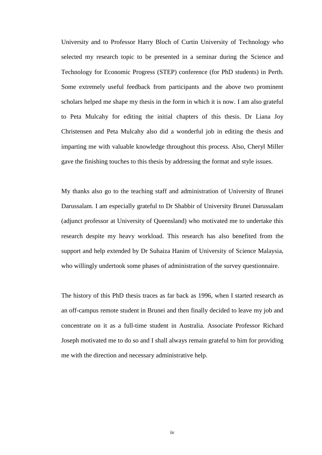University and to Professor Harry Bloch of Curtin University of Technology who selected my research topic to be presented in a seminar during the Science and Technology for Economic Progress (STEP) conference (for PhD students) in Perth. Some extremely useful feedback from participants and the above two prominent scholars helped me shape my thesis in the form in which it is now. I am also grateful to Peta Mulcahy for editing the initial chapters of this thesis. Dr Liana Joy Christensen and Peta Mulcahy also did a wonderful job in editing the thesis and imparting me with valuable knowledge throughout this process. Also, Cheryl Miller gave the finishing touches to this thesis by addressing the format and style issues.

My thanks also go to the teaching staff and administration of University of Brunei Darussalam. I am especially grateful to Dr Shabbir of University Brunei Darussalam (adjunct professor at University of Queensland) who motivated me to undertake this research despite my heavy workload. This research has also benefited from the support and help extended by Dr Suhaiza Hanim of University of Science Malaysia, who willingly undertook some phases of administration of the survey questionnaire.

The history of this PhD thesis traces as far back as 1996, when I started research as an off-campus remote student in Brunei and then finally decided to leave my job and concentrate on it as a full-time student in Australia. Associate Professor Richard Joseph motivated me to do so and I shall always remain grateful to him for providing me with the direction and necessary administrative help.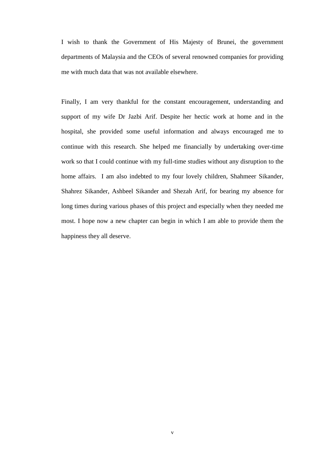I wish to thank the Government of His Majesty of Brunei, the government departments of Malaysia and the CEOs of several renowned companies for providing me with much data that was not available elsewhere.

Finally, I am very thankful for the constant encouragement, understanding and support of my wife Dr Jazbi Arif. Despite her hectic work at home and in the hospital, she provided some useful information and always encouraged me to continue with this research. She helped me financially by undertaking over-time work so that I could continue with my full-time studies without any disruption to the home affairs. I am also indebted to my four lovely children, Shahmeer Sikander, Shahrez Sikander, Ashbeel Sikander and Shezah Arif, for bearing my absence for long times during various phases of this project and especially when they needed me most. I hope now a new chapter can begin in which I am able to provide them the happiness they all deserve.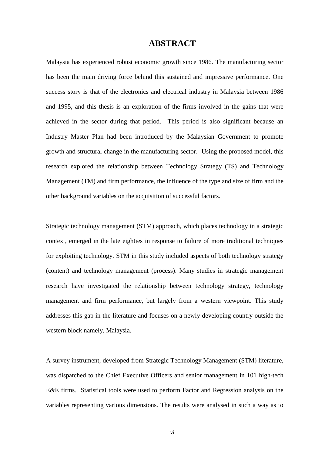## **ABSTRACT**

Malaysia has experienced robust economic growth since 1986. The manufacturing sector has been the main driving force behind this sustained and impressive performance. One success story is that of the electronics and electrical industry in Malaysia between 1986 and 1995, and this thesis is an exploration of the firms involved in the gains that were achieved in the sector during that period. This period is also significant because an Industry Master Plan had been introduced by the Malaysian Government to promote growth and structural change in the manufacturing sector. Using the proposed model, this research explored the relationship between Technology Strategy (TS) and Technology Management (TM) and firm performance, the influence of the type and size of firm and the other background variables on the acquisition of successful factors.

Strategic technology management (STM) approach, which places technology in a strategic context, emerged in the late eighties in response to failure of more traditional techniques for exploiting technology. STM in this study included aspects of both technology strategy (content) and technology management (process). Many studies in strategic management research have investigated the relationship between technology strategy, technology management and firm performance, but largely from a western viewpoint. This study addresses this gap in the literature and focuses on a newly developing country outside the western block namely, Malaysia.

A survey instrument, developed from Strategic Technology Management (STM) literature, was dispatched to the Chief Executive Officers and senior management in 101 high-tech E&E firms. Statistical tools were used to perform Factor and Regression analysis on the variables representing various dimensions. The results were analysed in such a way as to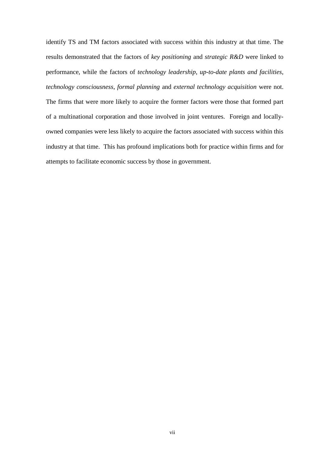identify TS and TM factors associated with success within this industry at that time. The results demonstrated that the factors of *key positioning* and *strategic R&D* were linked to performance, while the factors of *technology leadership*, *up-to-date plants and facilities*, *technology consciousness*, *formal planning* and *external technology acquisition* were not. The firms that were more likely to acquire the former factors were those that formed part of a multinational corporation and those involved in joint ventures. Foreign and locallyowned companies were less likely to acquire the factors associated with success within this industry at that time. This has profound implications both for practice within firms and for attempts to facilitate economic success by those in government.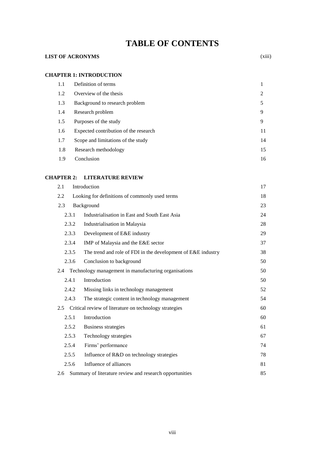## **TABLE OF CONTENTS**

## **LIST OF ACRONYMS** (xiii)

#### **CHAPTER 1: INTRODUCTION**

| 1.1 | Definition of terms                   |                |
|-----|---------------------------------------|----------------|
| 1.2 | Overview of the thesis                | $\overline{2}$ |
| 1.3 | Background to research problem        | 5              |
| 1.4 | Research problem                      | 9              |
| 1.5 | Purposes of the study                 | 9              |
| 1.6 | Expected contribution of the research | 11             |
| 1.7 | Scope and limitations of the study    | 14             |
| 1.8 | Research methodology                  | 15             |
| 1.9 | Conclusion                            | 16             |

#### **CHAPTER 2: LITERATURE REVIEW**

| 2.1   | Introduction                                                 | 17 |
|-------|--------------------------------------------------------------|----|
| 2.2   | Looking for definitions of commonly used terms               | 18 |
| 2.3   | Background                                                   | 23 |
| 2.3.1 | Industrialisation in East and South East Asia                | 24 |
| 2.3.2 | Industrialisation in Malaysia                                | 28 |
| 2.3.3 | Development of E&E industry                                  | 29 |
| 2.3.4 | IMP of Malaysia and the E&E sector                           | 37 |
| 2.3.5 | The trend and role of FDI in the development of E&E industry | 38 |
| 2.3.6 | Conclusion to background                                     | 50 |
|       | 2.4 Technology management in manufacturing organisations     | 50 |
| 2.4.1 | Introduction                                                 | 50 |
| 2.4.2 | Missing links in technology management                       | 52 |
| 2.4.3 | The strategic content in technology management               | 54 |
| 2.5   | Critical review of literature on technology strategies       | 60 |
| 2.5.1 | Introduction                                                 | 60 |
| 2.5.2 | <b>Business strategies</b>                                   | 61 |
| 2.5.3 | Technology strategies                                        | 67 |
| 2.5.4 | Firms' performance                                           | 74 |
| 2.5.5 | Influence of R&D on technology strategies                    | 78 |
| 2.5.6 | Influence of alliances                                       | 81 |
| 2.6   | Summary of literature review and research opportunities      | 85 |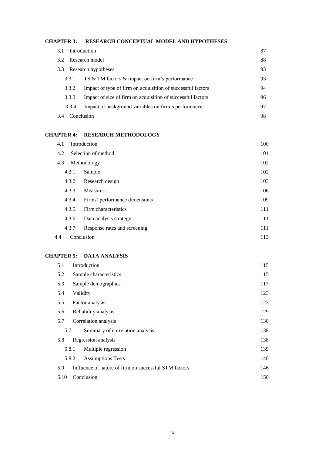#### **CHAPTER 3: RESEARCH CONCEPTUAL MODEL AND HYPOTHESES**

| 3.1   | Introduction                                                | 87 |
|-------|-------------------------------------------------------------|----|
| 3.2   | Research model                                              | 88 |
| 3.3   | Research hypotheses                                         | 93 |
| 3.3.1 | TS & TM factors & impact on firm's performance              | 93 |
| 3.3.2 | Impact of type of firm on acquisition of successful factors | 94 |
| 3.3.3 | Impact of size of firm on acquisition of successful factors | 96 |
| 3.3.4 | Impact of background variables on firm's performance        | 97 |
| 3.4   | Conclusion                                                  | 98 |

## **CHAPTER 4: RESEARCH METHODOLOGY**

| 4.1   | Introduction                  | 100 |
|-------|-------------------------------|-----|
| 4.2   | Selection of method           | 101 |
| 4.3   | Methodology                   | 102 |
| 4.3.1 | Sample                        | 102 |
| 4.3.2 | Research design               | 103 |
| 4.3.3 | <b>Measures</b>               | 106 |
| 4.3.4 | Firms' performance dimensions | 109 |
| 4.3.5 | Firm characteristics          | 111 |
| 4.3.6 | Data analysis strategy        | 111 |
| 4.3.7 | Response rates and screening  | 111 |
| 4.4   | Conclusion                    | 113 |

#### **CHAPTER 5: DATA ANALYSIS**

| 5.1                | Introduction                                          | 115 |  |
|--------------------|-------------------------------------------------------|-----|--|
| 5.2                | Sample characteristics                                |     |  |
| 5.3                | Sample demographics                                   | 117 |  |
| 5.4                | Validity                                              | 123 |  |
| 5.5                | Factor analysis                                       | 123 |  |
| 5.6                | 129<br>Reliability analysis                           |     |  |
| 5.7                | Correlation analysis                                  | 130 |  |
| 5.7.1              | Summary of correlation analysis                       | 138 |  |
| 5.8                | Regression analysis                                   | 138 |  |
| 5.8.1              | Multiple regression                                   | 139 |  |
| 5.8.2              | <b>Assumptions Tests</b>                              | 140 |  |
| 5.9                | Influence of nature of firm on successful STM factors | 146 |  |
| 5.10<br>Conclusion |                                                       | 150 |  |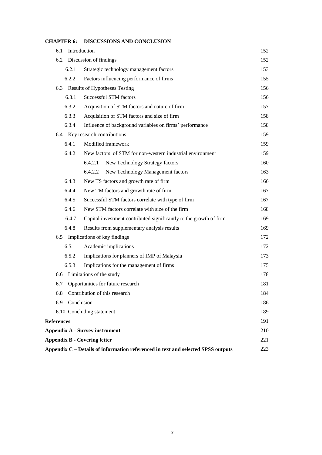|                                            | <b>DISCOBBIOTO ATTD COTTCLIONOTY</b>                                             |     |
|--------------------------------------------|----------------------------------------------------------------------------------|-----|
| 6.1                                        | Introduction                                                                     | 152 |
|                                            | 6.2 Discussion of findings                                                       | 152 |
| 6.2.1                                      | Strategic technology management factors                                          | 153 |
| 6.2.2                                      | Factors influencing performance of firms                                         | 155 |
|                                            | 6.3 Results of Hypotheses Testing                                                | 156 |
| 6.3.1                                      | Successful STM factors                                                           | 156 |
| 6.3.2                                      | Acquisition of STM factors and nature of firm                                    | 157 |
| 6.3.3                                      | Acquisition of STM factors and size of firm                                      | 158 |
| 6.3.4                                      | Influence of background variables on firms' performance                          | 158 |
|                                            | 6.4 Key research contributions                                                   | 159 |
| 6.4.1                                      | Modified framework                                                               | 159 |
| 6.4.2                                      | New factors of STM for non-western industrial environment                        | 159 |
|                                            | 6.4.2.1<br>New Technology Strategy factors                                       | 160 |
|                                            | New Technology Management factors<br>6.4.2.2                                     | 163 |
| 6.4.3                                      | New TS factors and growth rate of firm                                           | 166 |
| 6.4.4                                      | New TM factors and growth rate of firm                                           | 167 |
| 6.4.5                                      | Successful STM factors correlate with type of firm                               | 167 |
| 6.4.6                                      | New STM factors correlate with size of the firm                                  | 168 |
| 6.4.7                                      | Capital investment contributed significantly to the growth of firm               | 169 |
| 6.4.8                                      | Results from supplementary analysis results                                      | 169 |
|                                            | 6.5 Implications of key findings                                                 | 172 |
| 6.5.1                                      | Academic implications                                                            | 172 |
| 6.5.2                                      | Implications for planners of IMP of Malaysia                                     | 173 |
| 6.5.3                                      | Implications for the management of firms                                         | 175 |
|                                            | 6.6 Limitations of the study                                                     | 178 |
|                                            | 6.7 Opportunities for future research                                            | 181 |
| 6.8                                        | Contribution of this research                                                    | 184 |
| 6.9                                        | Conclusion                                                                       | 186 |
|                                            | 6.10 Concluding statement                                                        | 189 |
| <b>References</b>                          |                                                                                  | 191 |
| <b>Appendix A - Survey instrument</b>      |                                                                                  | 210 |
| <b>Appendix B - Covering letter</b><br>221 |                                                                                  |     |
|                                            | Appendix C - Details of information referenced in text and selected SPSS outputs | 223 |

## **CHAPTER 6: DISCUSSIONS AND CONCLUSION**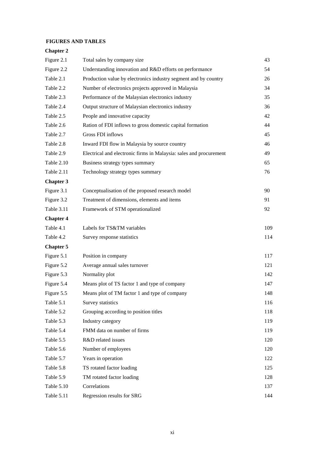#### **FIGURES AND TABLES**

## **Chapter 2**

| Figure 2.1       | Total sales by company size                                        | 43  |
|------------------|--------------------------------------------------------------------|-----|
| Figure 2.2       | Understanding innovation and R&D efforts on performance            | 54  |
| Table 2.1        | Production value by electronics industry segment and by country    | 26  |
| Table 2.2        | Number of electronics projects approved in Malaysia                | 34  |
| Table 2.3        | Performance of the Malaysian electronics industry                  | 35  |
| Table 2.4        | Output structure of Malaysian electronics industry                 | 36  |
| Table 2.5        | People and innovative capacity                                     | 42  |
| Table 2.6        | Ration of FDI inflows to gross domestic capital formation          | 44  |
| Table 2.7        | Gross FDI inflows                                                  | 45  |
| Table 2.8        | Inward FDI flow in Malaysia by source country                      | 46  |
| Table 2.9        | Electrical and electronic firms in Malaysia: sales and procurement | 49  |
| Table 2.10       | Business strategy types summary                                    | 65  |
| Table 2.11       | Technology strategy types summary                                  | 76  |
| <b>Chapter 3</b> |                                                                    |     |
| Figure 3.1       | Conceptualisation of the proposed research model                   | 90  |
| Figure 3.2       | Treatment of dimensions, elements and items                        | 91  |
| Table 3.11       | Framework of STM operationalized                                   | 92  |
| <b>Chapter 4</b> |                                                                    |     |
| Table 4.1        | Labels for TS&TM variables                                         | 109 |
| Table 4.2        | Survey response statistics                                         | 114 |
| <b>Chapter 5</b> |                                                                    |     |
| Figure 5.1       | Position in company                                                | 117 |
| Figure 5.2       | Average annual sales turnover                                      | 121 |
| Figure 5.3       | Normality plot                                                     | 142 |
| Figure 5.4       | Means plot of TS factor 1 and type of company                      | 147 |
| Figure 5.5       | Means plot of TM factor 1 and type of company                      | 148 |
| Table 5.1        | Survey statistics                                                  | 116 |
| Table 5.2        | Grouping according to position titles                              | 118 |
| Table 5.3        | Industry category                                                  | 119 |
| Table 5.4        | FMM data on number of firms                                        | 119 |
| Table 5.5        | R&D related issues                                                 | 120 |
| Table 5.6        | Number of employees                                                | 120 |
| Table 5.7        | Years in operation                                                 | 122 |
| Table 5.8        | TS rotated factor loading                                          | 125 |
| Table 5.9        | TM rotated factor loading                                          | 128 |
| Table 5.10       | Correlations                                                       | 137 |
| Table 5.11       | Regression results for SRG                                         | 144 |
|                  |                                                                    |     |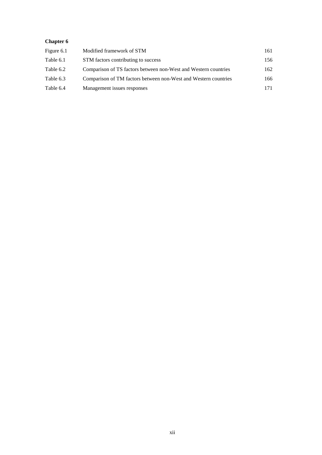## **Chapter 6**

| Figure 6.1 | Modified framework of STM                                       | 161 |
|------------|-----------------------------------------------------------------|-----|
| Table 6.1  | STM factors contributing to success                             | 156 |
| Table 6.2  | Comparison of TS factors between non-West and Western countries | 162 |
| Table 6.3  | Comparison of TM factors between non-West and Western countries | 166 |
| Table 6.4  | Management issues responses                                     | 171 |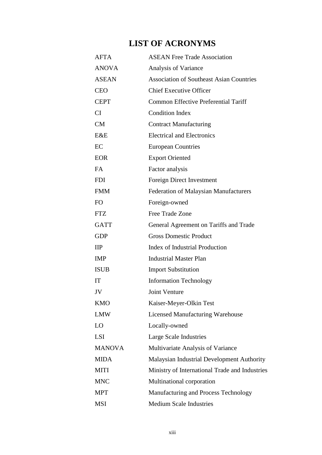# **LIST OF ACRONYMS**

| <b>AFTA</b>   | <b>ASEAN Free Trade Association</b>             |
|---------------|-------------------------------------------------|
| <b>ANOVA</b>  | Analysis of Variance                            |
| <b>ASEAN</b>  | <b>Association of Southeast Asian Countries</b> |
| <b>CEO</b>    | <b>Chief Executive Officer</b>                  |
| <b>CEPT</b>   | <b>Common Effective Preferential Tariff</b>     |
| <b>CI</b>     | <b>Condition Index</b>                          |
| CM            | <b>Contract Manufacturing</b>                   |
| E&E           | <b>Electrical and Electronics</b>               |
| EC            | <b>European Countries</b>                       |
| <b>EOR</b>    | <b>Export Oriented</b>                          |
| FA            | Factor analysis                                 |
| <b>FDI</b>    | Foreign Direct Investment                       |
| <b>FMM</b>    | Federation of Malaysian Manufacturers           |
| FO            | Foreign-owned                                   |
| <b>FTZ</b>    | Free Trade Zone                                 |
| <b>GATT</b>   | General Agreement on Tariffs and Trade          |
| <b>GDP</b>    | <b>Gross Domestic Product</b>                   |
| $\mathbf{H}$  | <b>Index of Industrial Production</b>           |
| <b>IMP</b>    | <b>Industrial Master Plan</b>                   |
| <b>ISUB</b>   | <b>Import Substitution</b>                      |
| IT            | <b>Information Technology</b>                   |
| JV            | Joint Venture                                   |
| <b>KMO</b>    | Kaiser-Meyer-Olkin Test                         |
| <b>LMW</b>    | <b>Licensed Manufacturing Warehouse</b>         |
| LO            | Locally-owned                                   |
| <b>LSI</b>    | Large Scale Industries                          |
| <b>MANOVA</b> | Multivariate Analysis of Variance               |
| <b>MIDA</b>   | Malaysian Industrial Development Authority      |
| <b>MITI</b>   | Ministry of International Trade and Industries  |
| <b>MNC</b>    | Multinational corporation                       |
| <b>MPT</b>    | Manufacturing and Process Technology            |
| MSI           | <b>Medium Scale Industries</b>                  |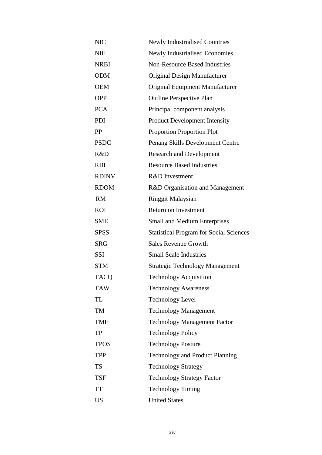| <b>NIC</b>   | Newly Industrialised Countries                 |
|--------------|------------------------------------------------|
| NIE          | <b>Newly Industrialised Economies</b>          |
| <b>NRBI</b>  | <b>Non-Resource Based Industries</b>           |
| <b>ODM</b>   | Original Design Manufacturer                   |
| <b>OEM</b>   | Original Equipment Manufacturer                |
| <b>OPP</b>   | <b>Outline Perspective Plan</b>                |
| <b>PCA</b>   | Principal component analysis                   |
| PDI          | <b>Product Development Intensity</b>           |
| PP           | <b>Proportion Proportion Plot</b>              |
| <b>PSDC</b>  | Penang Skills Development Centre               |
| R&D          | <b>Research and Development</b>                |
| <b>RBI</b>   | <b>Resource Based Industries</b>               |
| <b>RDINV</b> | <b>R&amp;D</b> Investment                      |
| <b>RDOM</b>  | R&D Organisation and Management                |
| <b>RM</b>    | <b>Ringgit Malaysian</b>                       |
| <b>ROI</b>   | <b>Return on Investment</b>                    |
| <b>SME</b>   | <b>Small and Medium Enterprises</b>            |
| <b>SPSS</b>  | <b>Statistical Program for Social Sciences</b> |
| <b>SRG</b>   | <b>Sales Revenue Growth</b>                    |
| <b>SSI</b>   | <b>Small Scale Industries</b>                  |
| <b>STM</b>   | <b>Strategic Technology Management</b>         |
| <b>TACQ</b>  | <b>Technology Acquisition</b>                  |
| <b>TAW</b>   | <b>Technology Awareness</b>                    |
| TL           | <b>Technology Level</b>                        |
| TM           | <b>Technology Management</b>                   |
| <b>TMF</b>   | <b>Technology Management Factor</b>            |
| TP           | <b>Technology Policy</b>                       |
| <b>TPOS</b>  | <b>Technology Posture</b>                      |
| <b>TPP</b>   | <b>Technology and Product Planning</b>         |
| <b>TS</b>    | <b>Technology Strategy</b>                     |
| TSF          | <b>Technology Strategy Factor</b>              |
| <b>TT</b>    | <b>Technology Timing</b>                       |
| US           | <b>United States</b>                           |